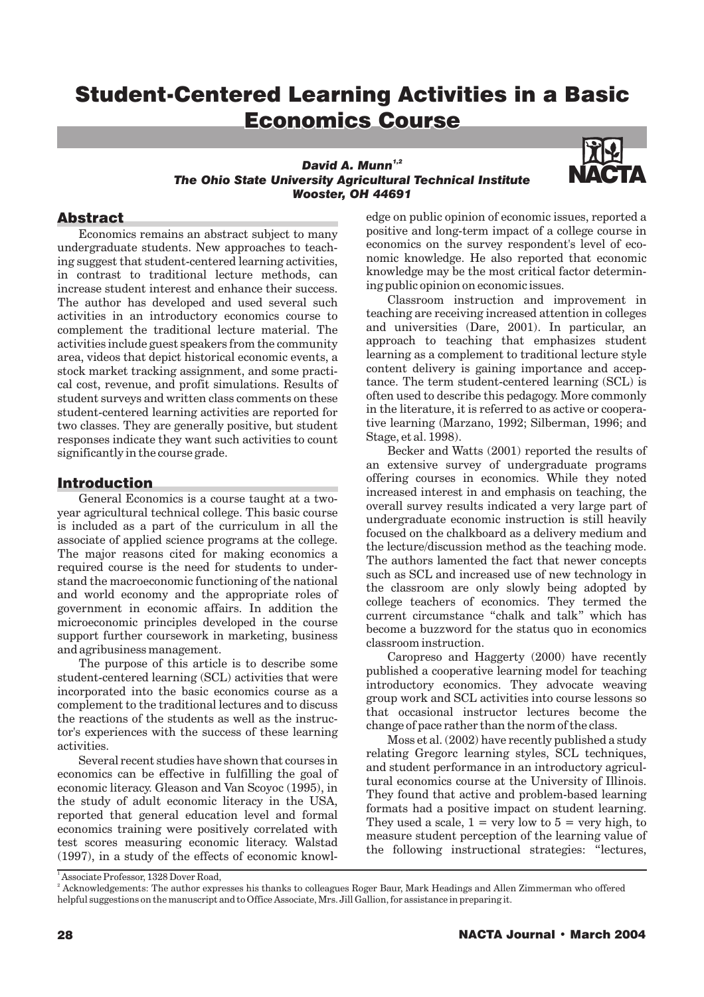# Student-Centered Learning Activities in a Basic Student-Centered Learning Activities in a Economics Economics Course

#### *David A. Munn 1,2 The Ohio State University Agricultural Technical Institute Wooster, OH 44691*



#### **Abstract**

Economics remains an abstract subject to many undergraduate students. New approaches to teaching suggest that student-centered learning activities, in contrast to traditional lecture methods, can increase student interest and enhance their success. The author has developed and used several such activities in an introductory economics course to complement the traditional lecture material. The activities include guest speakers from the community area, videos that depict historical economic events, a stock market tracking assignment, and some practical cost, revenue, and profit simulations. Results of student surveys and written class comments on these student-centered learning activities are reported for two classes. They are generally positive, but student responses indicate they want such activities to count significantly in the course grade.

#### Introduction

General Economics is a course taught at a twoyear agricultural technical college. This basic course is included as a part of the curriculum in all the associate of applied science programs at the college. The major reasons cited for making economics a required course is the need for students to understand the macroeconomic functioning of the national and world economy and the appropriate roles of government in economic affairs. In addition the microeconomic principles developed in the course support further coursework in marketing, business and agribusiness management.

The purpose of this article is to describe some student-centered learning (SCL) activities that were incorporated into the basic economics course as a complement to the traditional lectures and to discuss the reactions of the students as well as the instructor's experiences with the success of these learning activities.

Several recent studies have shown that courses in economics can be effective in fulfilling the goal of economic literacy. Gleason and Van Scoyoc (1995), in the study of adult economic literacy in the USA, reported that general education level and formal economics training were positively correlated with test scores measuring economic literacy. Walstad (1997), in a study of the effects of economic knowledge on public opinion of economic issues, reported a positive and long-term impact of a college course in economics on the survey respondent's level of economic knowledge. He also reported that economic knowledge may be the most critical factor determining public opinion on economic issues.

Classroom instruction and improvement in teaching are receiving increased attention in colleges and universities (Dare, 2001). In particular, an approach to teaching that emphasizes student learning as a complement to traditional lecture style content delivery is gaining importance and acceptance. The term student-centered learning (SCL) is often used to describe this pedagogy. More commonly in the literature, it is referred to as active or cooperative learning (Marzano, 1992; Silberman, 1996; and Stage, et al. 1998).

Becker and Watts (2001) reported the results of an extensive survey of undergraduate programs offering courses in economics. While they noted increased interest in and emphasis on teaching, the overall survey results indicated a very large part of undergraduate economic instruction is still heavily focused on the chalkboard as a delivery medium and the lecture/discussion method as the teaching mode. The authors lamented the fact that newer concepts such as SCL and increased use of new technology in the classroom are only slowly being adopted by college teachers of economics. They termed the current circumstance "chalk and talk" which has become a buzzword for the status quo in economics classroom instruction.

Caropreso and Haggerty (2000) have recently published a cooperative learning model for teaching introductory economics. They advocate weaving group work and SCL activities into course lessons so that occasional instructor lectures become the change of pace rather than the norm of the class.

Moss et al. (2002) have recently published a study relating Gregorc learning styles, SCL techniques, and student performance in an introductory agricultural economics course at the University of Illinois. They found that active and problem-based learning formats had a positive impact on student learning. They used a scale,  $1 = \text{very low to } 5 = \text{very high, to}$ measure student perception of the learning value of the following instructional strategies: "lectures,

<sup>&</sup>lt;sup>1</sup> Associate Professor, 1328 Dover Road,

 $^2$  Acknowledgements: The author expresses his thanks to colleagues Roger Baur, Mark Headings and Allen Zimmerman who offered helpful suggestions on the manuscript and to Office Associate, Mrs. Jill Gallion, for assistance in preparing it.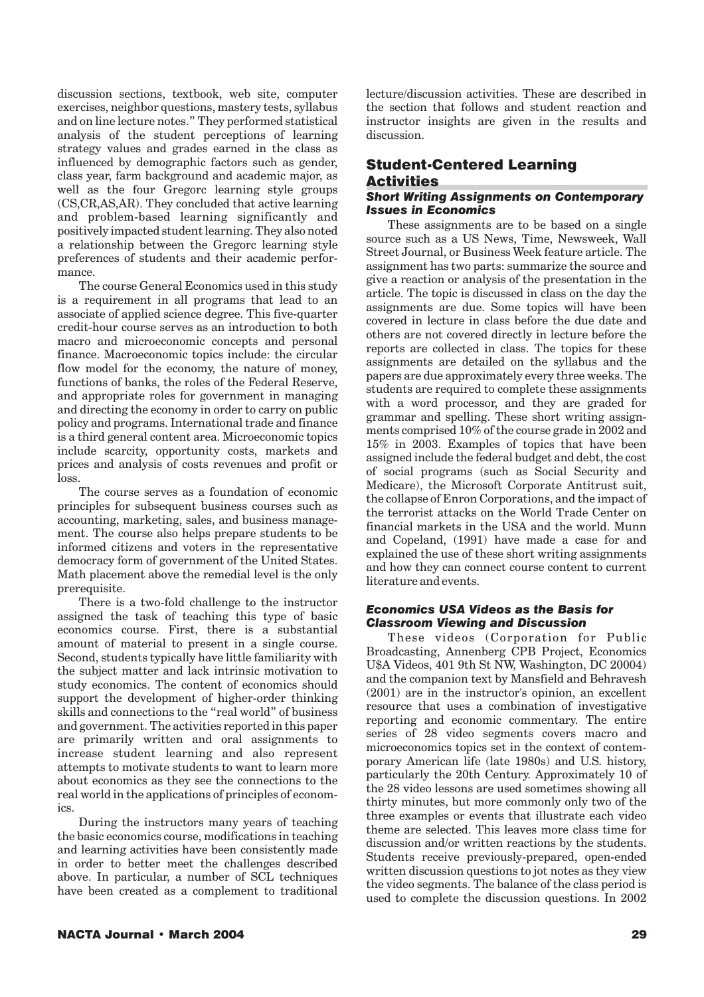discussion sections, textbook, web site, computer exercises, neighbor questions, mastery tests, syllabus and on line lecture notes." They performed statistical analysis of the student perceptions of learning strategy values and grades earned in the class as influenced by demographic factors such as gender, class year, farm background and academic major, as well as the four Gregorc learning style groups (CS,CR,AS,AR). They concluded that active learning and problem-based learning significantly and positively impacted student learning. They also noted a relationship between the Gregorc learning style preferences of students and their academic performance.

The course General Economics used in this study is a requirement in all programs that lead to an associate of applied science degree. This five-quarter credit-hour course serves as an introduction to both macro and microeconomic concepts and personal finance. Macroeconomic topics include: the circular flow model for the economy, the nature of money, functions of banks, the roles of the Federal Reserve, and appropriate roles for government in managing and directing the economy in order to carry on public policy and programs. International trade and finance is a third general content area. Microeconomic topics include scarcity, opportunity costs, markets and prices and analysis of costs revenues and profit or loss.

The course serves as a foundation of economic principles for subsequent business courses such as accounting, marketing, sales, and business management. The course also helps prepare students to be informed citizens and voters in the representative democracy form of government of the United States. Math placement above the remedial level is the only prerequisite.

There is a two-fold challenge to the instructor assigned the task of teaching this type of basic economics course. First, there is a substantial amount of material to present in a single course. Second, students typically have little familiarity with the subject matter and lack intrinsic motivation to study economics. The content of economics should support the development of higher-order thinking skills and connections to the "real world" of business and government. The activities reported in this paper are primarily written and oral assignments to increase student learning and also represent attempts to motivate students to want to learn more about economics as they see the connections to the real world in the applications of principles of economics.

During the instructors many years of teaching the basic economics course, modifications in teaching and learning activities have been consistently made in order to better meet the challenges described above. In particular, a number of SCL techniques have been created as a complement to traditional

lecture/discussion activities. These are described in the section that follows and student reaction and instructor insights are given in the results and discussion.

## Student-Centered Learning Activities

#### *Short Writing Assignments on Contemporary Issues in Economics*

These assignments are to be based on a single source such as a US News, Time, Newsweek, Wall Street Journal, or Business Week feature article. The assignment has two parts: summarize the source and give a reaction or analysis of the presentation in the article. The topic is discussed in class on the day the assignments are due. Some topics will have been covered in lecture in class before the due date and others are not covered directly in lecture before the reports are collected in class. The topics for these assignments are detailed on the syllabus and the papers are due approximately every three weeks. The students are required to complete these assignments with a word processor, and they are graded for grammar and spelling. These short writing assignments comprised 10% of the course grade in 2002 and 15% in 2003. Examples of topics that have been assigned include the federal budget and debt, the cost of social programs (such as Social Security and Medicare), the Microsoft Corporate Antitrust suit, the collapse of Enron Corporations, and the impact of the terrorist attacks on the World Trade Center on financial markets in the USA and the world. Munn and Copeland, (1991) have made a case for and explained the use of these short writing assignments and how they can connect course content to current literature and events.

#### *Economics USA Videos as the Basis for Classroom Viewing and Discussion*

These videos (Corporation for Public Broadcasting, Annenberg CPB Project, Economics U\$A Videos, 401 9th St NW, Washington, DC 20004) and the companion text by Mansfield and Behravesh (2001) are in the instructor's opinion, an excellent resource that uses a combination of investigative reporting and economic commentary. The entire series of 28 video segments covers macro and microeconomics topics set in the context of contemporary American life (late 1980s) and U.S. history, particularly the 20th Century. Approximately 10 of the 28 video lessons are used sometimes showing all thirty minutes, but more commonly only two of the three examples or events that illustrate each video theme are selected. This leaves more class time for discussion and/or written reactions by the students. Students receive previously-prepared, open-ended written discussion questions to jot notes as they view the video segments. The balance of the class period is used to complete the discussion questions. In 2002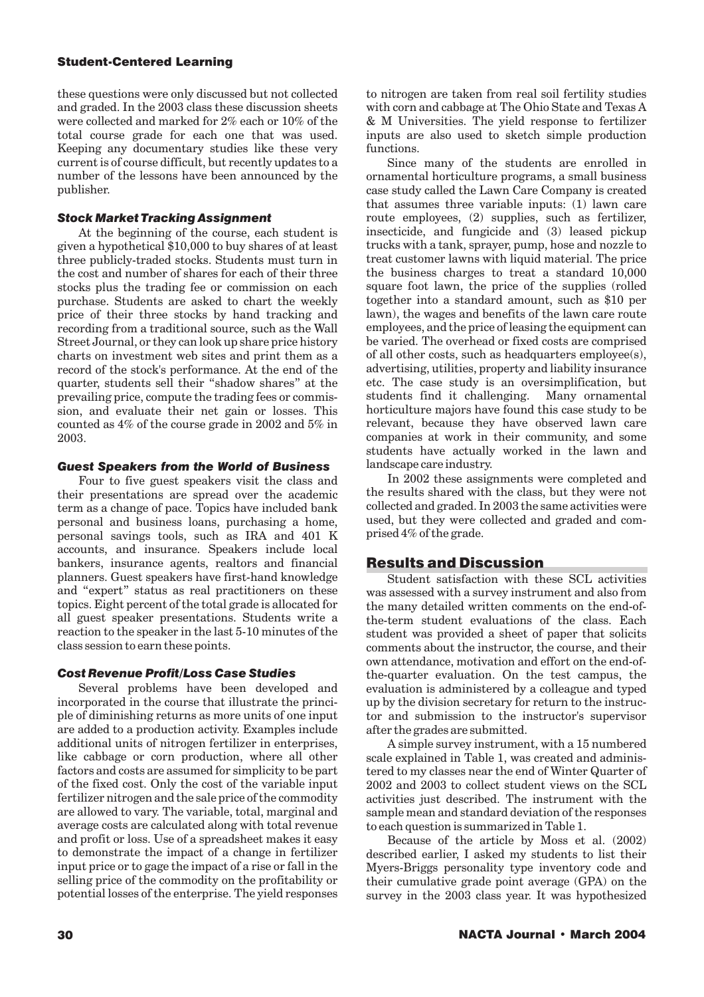#### **Student-Centered Learning**

these questions were only discussed but not collected and graded. In the 2003 class these discussion sheets were collected and marked for 2% each or 10% of the total course grade for each one that was used. Keeping any documentary studies like these very current is of course difficult, but recently updates to a number of the lessons have been announced by the publisher.

#### *Stock Market Tracking Assignment*

At the beginning of the course, each student is given a hypothetical \$10,000 to buy shares of at least three publicly-traded stocks. Students must turn in the cost and number of shares for each of their three stocks plus the trading fee or commission on each purchase. Students are asked to chart the weekly price of their three stocks by hand tracking and recording from a traditional source, such as the Wall Street Journal, or they can look up share price history charts on investment web sites and print them as a record of the stock's performance. At the end of the quarter, students sell their "shadow shares" at the prevailing price, compute the trading fees or commission, and evaluate their net gain or losses. This counted as 4% of the course grade in 2002 and 5% in 2003.

#### *Guest Speakers from the World of Business*

Four to five guest speakers visit the class and their presentations are spread over the academic term as a change of pace. Topics have included bank personal and business loans, purchasing a home, personal savings tools, such as IRA and 401 K accounts, and insurance. Speakers include local bankers, insurance agents, realtors and financial planners. Guest speakers have first-hand knowledge and "expert" status as real practitioners on these topics. Eight percent of the total grade is allocated for all guest speaker presentations. Students write a reaction to the speaker in the last 5-10 minutes of the class session to earn these points.

#### *Cost Revenue Profit/Loss Case Studies*

Several problems have been developed and incorporated in the course that illustrate the principle of diminishing returns as more units of one input are added to a production activity. Examples include additional units of nitrogen fertilizer in enterprises, like cabbage or corn production, where all other factors and costs are assumed for simplicity to be part of the fixed cost. Only the cost of the variable input fertilizer nitrogen and the sale price of the commodity are allowed to vary. The variable, total, marginal and average costs are calculated along with total revenue and profit or loss. Use of a spreadsheet makes it easy to demonstrate the impact of a change in fertilizer input price or to gage the impact of a rise or fall in the selling price of the commodity on the profitability or potential losses of the enterprise. The yield responses to nitrogen are taken from real soil fertility studies with corn and cabbage at The Ohio State and Texas A & M Universities. The yield response to fertilizer inputs are also used to sketch simple production functions.

Since many of the students are enrolled in ornamental horticulture programs, a small business case study called the Lawn Care Company is created that assumes three variable inputs: (1) lawn care route employees, (2) supplies, such as fertilizer, insecticide, and fungicide and (3) leased pickup trucks with a tank, sprayer, pump, hose and nozzle to treat customer lawns with liquid material. The price the business charges to treat a standard 10,000 square foot lawn, the price of the supplies (rolled together into a standard amount, such as \$10 per lawn), the wages and benefits of the lawn care route employees, and the price of leasing the equipment can be varied. The overhead or fixed costs are comprised of all other costs, such as headquarters employee(s), advertising, utilities, property and liability insurance etc. The case study is an oversimplification, but students find it challenging. Many ornamental horticulture majors have found this case study to be relevant, because they have observed lawn care companies at work in their community, and some students have actually worked in the lawn and landscape care industry.

In 2002 these assignments were completed and the results shared with the class, but they were not collected and graded. In 2003 the same activities were used, but they were collected and graded and comprised 4% of the grade.

### Results and Discussion

Student satisfaction with these SCL activities was assessed with a survey instrument and also from the many detailed written comments on the end-ofthe-term student evaluations of the class. Each student was provided a sheet of paper that solicits comments about the instructor, the course, and their own attendance, motivation and effort on the end-ofthe-quarter evaluation. On the test campus, the evaluation is administered by a colleague and typed up by the division secretary for return to the instructor and submission to the instructor's supervisor after the grades are submitted.

A simple survey instrument, with a 15 numbered scale explained in Table 1, was created and administered to my classes near the end of Winter Quarter of 2002 and 2003 to collect student views on the SCL activities just described. The instrument with the sample mean and standard deviation of the responses to each question is summarized in Table 1.

Because of the article by Moss et al. (2002) described earlier, I asked my students to list their Myers-Briggs personality type inventory code and their cumulative grade point average (GPA) on the survey in the 2003 class year. It was hypothesized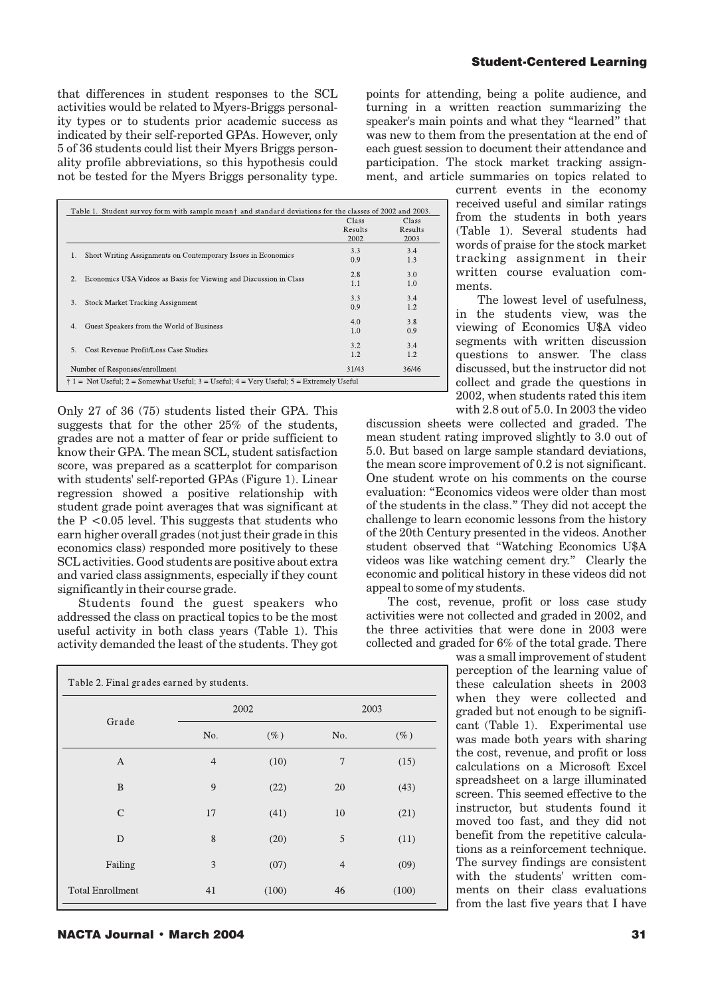that differences in student responses to the SCL activities would be related to Myers-Briggs personality types or to students prior academic success as indicated by their self-reported GPAs. However, only 5 of 36 students could list their Myers Briggs personality profile abbreviations, so this hypothesis could not be tested for the Myers Briggs personality type.

| points for attending, being a polite audience, and  |
|-----------------------------------------------------|
| turning in a written reaction summarizing the       |
| speaker's main points and what they "learned" that  |
| was new to them from the presentation at the end of |
| each guest session to document their attendance and |
| participation. The stock market tracking assign-    |
| ment, and article summaries on topics related to    |

| Table 1. Student survey form with sample mean† and standard deviations for the classes of 2002 and 2003. |                          |                          |  |  |  |
|----------------------------------------------------------------------------------------------------------|--------------------------|--------------------------|--|--|--|
|                                                                                                          | Class<br>Results<br>2002 | Class<br>Results<br>2003 |  |  |  |
| Short Writing Assignments on Contemporary Issues in Economics                                            | 3.3                      | 3.4                      |  |  |  |
| 1.                                                                                                       | 0.9                      | 1.3                      |  |  |  |
| 2.                                                                                                       | 2.8                      | 3.0                      |  |  |  |
| Economics U\$A Videos as Basis for Viewing and Discussion in Class                                       | 1.1                      | 1.0                      |  |  |  |
| 3.                                                                                                       | 3.3                      | 3.4                      |  |  |  |
| <b>Stock Market Tracking Assignment</b>                                                                  | 0.9                      | 1.2                      |  |  |  |
| Guest Speakers from the World of Business                                                                | 4.0                      | 3.8                      |  |  |  |
| 4.                                                                                                       | 1.0                      | 0.9                      |  |  |  |
| Cost Revenue Profit/Loss Case Studies                                                                    | 3.2                      | 3.4                      |  |  |  |
| 5.                                                                                                       | 1.2                      | 1.2                      |  |  |  |
| Number of Responses/enrollment                                                                           | 31/43                    | 36/46                    |  |  |  |
| $\dagger$ 1 = Not Useful; 2 = Somewhat Useful; 3 = Useful; 4 = Very Useful; 5 = Extremely Useful         |                          |                          |  |  |  |

Only 27 of 36 (75) students listed their GPA. This suggests that for the other 25% of the students, grades are not a matter of fear or pride sufficient to know their GPA. The mean SCL, student satisfaction score, was prepared as a scatterplot for comparison with students' self-reported GPAs (Figure 1). Linear regression showed a positive relationship with student grade point averages that was significant at the  $P < 0.05$  level. This suggests that students who earn higher overall grades (not just their grade in this economics class) responded more positively to these SCL activities. Good students are positive about extra and varied class assignments, especially if they count significantly in their course grade.

Students found the guest speakers who addressed the class on practical topics to be the most useful activity in both class years (Table 1). This activity demanded the least of the students. They got

| Table 2. Final grades earned by students. |                |        |                |        |  |  |
|-------------------------------------------|----------------|--------|----------------|--------|--|--|
| Grade                                     | 2002           |        | 2003           |        |  |  |
|                                           | No.            | $(\%)$ | No.            | $(\%)$ |  |  |
| A                                         | $\overline{4}$ | (10)   | 7              | (15)   |  |  |
| B                                         | 9              | (22)   | 20             | (43)   |  |  |
| $\mathcal{C}$                             | 17             | (41)   | 10             | (21)   |  |  |
| D                                         | 8              | (20)   | 5              | (11)   |  |  |
| Failing                                   | 3              | (07)   | $\overline{4}$ | (09)   |  |  |
| <b>Total Enrollment</b>                   | 41             | (100)  | 46             | (100)  |  |  |

current events in the economy received useful and similar ratings from the students in both years (Table 1). Several students had words of praise for the stock market tracking assignment in their

**Student-Centered Learning** 

ments. The lowest level of usefulness, in the students view, was the viewing of Economics U\$A video segments with written discussion questions to answer. The class discussed, but the instructor did not collect and grade the questions in 2002, when students rated this item with 2.8 out of 5.0. In 2003 the video

written course evaluation com-

discussion sheets were collected and graded. The mean student rating improved slightly to 3.0 out of 5.0. But based on large sample standard deviations, the mean score improvement of 0.2 is not significant. One student wrote on his comments on the course evaluation: "Economics videos were older than most of the students in the class." They did not accept the challenge to learn economic lessons from the history of the 20th Century presented in the videos. Another student observed that "Watching Economics U\$A videos was like watching cement dry." Clearly the economic and political history in these videos did not appeal to some of my students.

The cost, revenue, profit or loss case study activities were not collected and graded in 2002, and the three activities that were done in 2003 were collected and graded for 6% of the total grade. There

> was a small improvement of student perception of the learning value of these calculation sheets in 2003 when they were collected and graded but not enough to be significant (Table 1). Experimental use was made both years with sharing the cost, revenue, and profit or loss calculations on a Microsoft Excel spreadsheet on a large illuminated screen. This seemed effective to the instructor, but students found it moved too fast, and they did not benefit from the repetitive calculations as a reinforcement technique. The survey findings are consistent with the students' written comments on their class evaluations from the last five years that I have